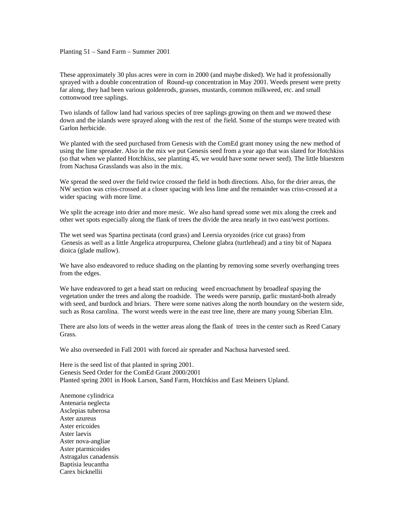## Planting 51 – Sand Farm – Summer 2001

These approximately 30 plus acres were in corn in 2000 (and maybe disked). We had it professionally sprayed with a double concentration of Round-up concentration in May 2001. Weeds present were pretty far along, they had been various goldenrods, grasses, mustards, common milkweed, etc. and small cottonwood tree saplings.

Two islands of fallow land had various species of tree saplings growing on them and we mowed these down and the islands were sprayed along with the rest of the field. Some of the stumps were treated with Garlon herbicide.

We planted with the seed purchased from Genesis with the ComEd grant money using the new method of using the lime spreader. Also in the mix we put Genesis seed from a year ago that was slated for Hotchkiss (so that when we planted Hotchkiss, see planting 45, we would have some newer seed). The little bluestem from Nachusa Grasslands was also in the mix.

We spread the seed over the field twice crossed the field in both directions. Also, for the drier areas, the NW section was criss-crossed at a closer spacing with less lime and the remainder was criss-crossed at a wider spacing with more lime.

We split the acreage into drier and more mesic. We also hand spread some wet mix along the creek and other wet spots especially along the flank of trees the divide the area nearly in two east/west portions.

The wet seed was Spartina pectinata (cord grass) and Leersia oryzoides (rice cut grass) from Genesis as well as a little Angelica atropurpurea, Chelone glabra (turtlehead) and a tiny bit of Napaea dioica (glade mallow).

We have also endeavored to reduce shading on the planting by removing some severly overhanging trees from the edges.

We have endeavored to get a head start on reducing weed encroachment by broadleaf spaying the vegetation under the trees and along the roadside. The weeds were parsnip, garlic mustard-both already with seed, and burdock and briars. There were some natives along the north boundary on the western side, such as Rosa carolina. The worst weeds were in the east tree line, there are many young Siberian Elm.

There are also lots of weeds in the wetter areas along the flank of trees in the center such as Reed Canary Grass.

We also overseeded in Fall 2001 with forced air spreader and Nachusa harvested seed.

Here is the seed list of that planted in spring 2001. Genesis Seed Order for the ComEd Grant 2000/2001 Planted spring 2001 in Hook Larson, Sand Farm, Hotchkiss and East Meiners Upland.

Anemone cylindrica Antenaria neglecta Asclepias tuberosa Aster azureus Aster ericoides Aster laevis Aster nova-angliae Aster ptarmicoides Astragalus canadensis Baptisia leucantha Carex bicknellii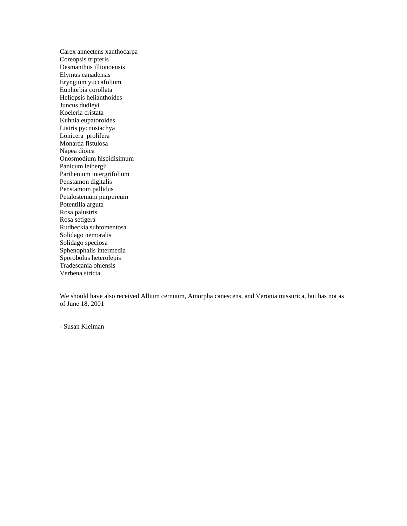Carex annectens xanthocarpa Coreopsis tripteris Desmanthus illionoensis Elymus canadensis Eryngium yuccafolium Euphorbia corollata Heliopsis helianthoides Juncus dudleyi Koeleria cristata Kuhnia eupatoroides Liatris pycnostachya Lonicera prolifera Monarda fistulosa Napea dioica Onosmodium hispidisimum Panicum leibergii Parthenium intergrifolium Penstamon digitalis Penstamom pallidus Petalostemum purpureum Potentilla arguta Rosa palustris Rosa setigera Rudbeckia subtomentosa Solidago nemoralis Solidago speciosa Sphenophalis intermedia Sporobolus heterolepis Tradescania ohiensis Verbena stricta

We should have also received Allium cernuum, Amorpha canescens, and Veronia missurica, but has not as of June 18, 2001

- Susan Kleiman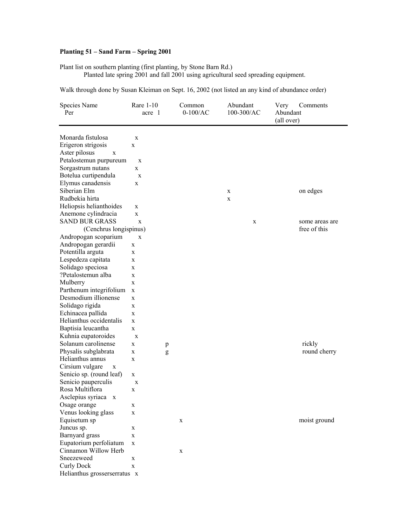## **Planting 51 – Sand Farm – Spring 2001**

Plant list on southern planting (first planting, by Stone Barn Rd.)

Planted late spring 2001 and fall 2001 using agricultural seed spreading equipment.

Walk through done by Susan Kleiman on Sept. 16, 2002 (not listed an any kind of abundance order)

| Species Name                             | Rare 1-10   |   | Common     | Abundant   | Very       | Comments       |
|------------------------------------------|-------------|---|------------|------------|------------|----------------|
| Per                                      | acre 1      |   | $0-100/AC$ | 100-300/AC | Abundant   |                |
|                                          |             |   |            |            | (all over) |                |
|                                          |             |   |            |            |            |                |
| Monarda fistulosa                        | X           |   |            |            |            |                |
| Erigeron strigosis                       | X           |   |            |            |            |                |
| Aster pilosus<br>$\mathbf X$             |             |   |            |            |            |                |
| Petalostemun purpureum                   | $\mathbf X$ |   |            |            |            |                |
| Sorgastrum nutans                        | X           |   |            |            |            |                |
| Botelua curtipendula                     | $\mathbf X$ |   |            |            |            |                |
| Elymus canadensis                        | X           |   |            |            |            |                |
| Siberian Elm                             |             |   |            | X          |            | on edges       |
| Rudbekia hirta                           |             |   |            | X          |            |                |
| Heliopsis helianthoides                  | X           |   |            |            |            |                |
| Anemone cylindracia                      | X           |   |            |            |            |                |
| <b>SAND BUR GRASS</b>                    | X           |   |            | X          |            | some areas are |
| (Cenchrus longispinus)                   |             |   |            |            |            | free of this   |
| Andropogan scoparium                     | X           |   |            |            |            |                |
| Andropogan gerardii                      | X           |   |            |            |            |                |
| Potentilla arguta                        | X           |   |            |            |            |                |
| Lespedeza capitata                       | X           |   |            |            |            |                |
| Solidago speciosa                        | X           |   |            |            |            |                |
| ?Petalostemun alba                       | X           |   |            |            |            |                |
| Mulberry                                 | X           |   |            |            |            |                |
| Parthenum integrifolium                  | $\mathbf X$ |   |            |            |            |                |
| Desmodium illionense                     | X           |   |            |            |            |                |
| Solidago rigida                          | X           |   |            |            |            |                |
| Echinacea pallida                        | X           |   |            |            |            |                |
| Helianthus occidentalis                  | X           |   |            |            |            |                |
| Baptisia leucantha                       | X           |   |            |            |            |                |
| Kuhnia eupatoroides                      | $\mathbf X$ |   |            |            |            |                |
| Solanum carolinense                      |             |   |            |            |            | rickly         |
|                                          | X           | p |            |            |            |                |
| Physalis subglabrata<br>Helianthus annus | X           | g |            |            |            | round cherry   |
|                                          | $\mathbf X$ |   |            |            |            |                |
| Cirsium vulgare<br>$\mathbf X$           |             |   |            |            |            |                |
| Senicio sp. (round leaf)                 | X           |   |            |            |            |                |
| Senicio pauperculis                      | X           |   |            |            |            |                |
| Rosa Multiflora                          | X           |   |            |            |            |                |
| Asclepius syriaca x                      |             |   |            |            |            |                |
| Osage orange                             | X           |   |            |            |            |                |
| Venus looking glass                      | X           |   |            |            |            |                |
| Equisetum sp                             |             |   | X          |            |            | moist ground   |
| Juncus sp.                               | X           |   |            |            |            |                |
| Barnyard grass                           | X           |   |            |            |            |                |
| Eupatorium perfoliatum                   | $\mathbf X$ |   |            |            |            |                |
| Cinnamon Willow Herb                     |             |   | X          |            |            |                |
| Sneezeweed                               | X           |   |            |            |            |                |
| <b>Curly Dock</b>                        | X           |   |            |            |            |                |
| Helianthus grosserserratus x             |             |   |            |            |            |                |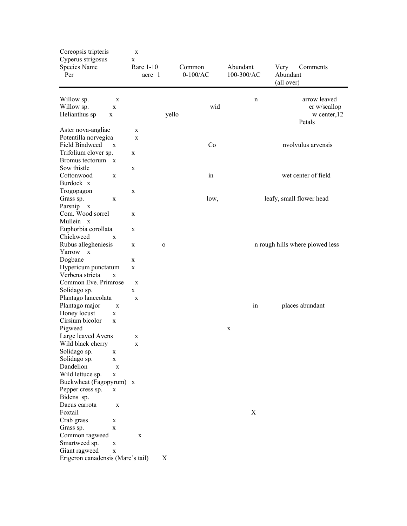| Coreopsis tripteris<br>Cyperus strigosus<br>Species Name<br>Per |                  | X<br>X<br>Rare 1-10<br>acre 1 |              | Common<br>$0-100/AC$ |      | Abundant<br>100-300/AC | Very<br>Abundant<br>(all over) | Comments                                               |
|-----------------------------------------------------------------|------------------|-------------------------------|--------------|----------------------|------|------------------------|--------------------------------|--------------------------------------------------------|
| Willow sp.<br>Willow sp.<br>Helianthus sp<br>X                  | X<br>$\mathbf X$ |                               | yello        |                      | wid  | n                      |                                | arrow leaved<br>er w/scallop<br>w center, 12<br>Petals |
| Aster nova-angliae                                              |                  | X                             |              |                      |      |                        |                                |                                                        |
| Potentilla norvegica                                            |                  | $\mathbf X$                   |              |                      |      |                        |                                |                                                        |
| Field Bindweed                                                  | X                |                               |              |                      | Co   |                        |                                | nvolvulus arvensis                                     |
| Trifolium clover sp.                                            |                  | X                             |              |                      |      |                        |                                |                                                        |
| Bromus tectorum x                                               |                  |                               |              |                      |      |                        |                                |                                                        |
| Sow thistle                                                     |                  | X                             |              |                      |      |                        |                                |                                                        |
| Cottonwood                                                      | $\mathbf X$      |                               |              |                      | in   |                        |                                | wet center of field                                    |
| Burdock x                                                       |                  |                               |              |                      |      |                        |                                |                                                        |
| Trogopagon                                                      |                  | X                             |              |                      |      |                        |                                |                                                        |
| Grass sp.                                                       | X                |                               |              |                      | low, |                        |                                | leafy, small flower head                               |
| Parsnip x                                                       |                  |                               |              |                      |      |                        |                                |                                                        |
| Com. Wood sorrel                                                |                  | X                             |              |                      |      |                        |                                |                                                        |
| Mullein x                                                       |                  |                               |              |                      |      |                        |                                |                                                        |
| Euphorbia corollata<br>Chickweed                                | X                | X                             |              |                      |      |                        |                                |                                                        |
| Rubus allegheniesis                                             |                  | X                             | $\mathbf{o}$ |                      |      |                        |                                | n rough hills where plowed less                        |
| Yarrow x                                                        |                  |                               |              |                      |      |                        |                                |                                                        |
| Dogbane                                                         |                  | X                             |              |                      |      |                        |                                |                                                        |
| Hypericum punctatum                                             |                  | X                             |              |                      |      |                        |                                |                                                        |
| Verbena stricta                                                 | $\mathbf X$      |                               |              |                      |      |                        |                                |                                                        |
| Common Eve. Primrose                                            |                  | $\mathbf X$                   |              |                      |      |                        |                                |                                                        |
| Solidago sp.                                                    |                  | $\mathbf{X}$                  |              |                      |      |                        |                                |                                                        |
| Plantago lanceolata                                             |                  | $\mathbf X$                   |              |                      |      |                        |                                |                                                        |
| Plantago major                                                  | $\mathbf X$      |                               |              |                      |      | in                     |                                | places abundant                                        |
| Honey locust                                                    | X                |                               |              |                      |      |                        |                                |                                                        |
| Cirsium bicolor                                                 | $\mathbf X$      |                               |              |                      |      |                        |                                |                                                        |
| Pigweed                                                         |                  |                               |              |                      |      | X                      |                                |                                                        |
| Large leaved Avens                                              |                  | X                             |              |                      |      |                        |                                |                                                        |
| Wild black cherry                                               |                  | X                             |              |                      |      |                        |                                |                                                        |
| Solidago sp.                                                    | X                |                               |              |                      |      |                        |                                |                                                        |
| Solidago sp.                                                    | X                |                               |              |                      |      |                        |                                |                                                        |
| Dandelion                                                       | $\mathbf X$      |                               |              |                      |      |                        |                                |                                                        |
| Wild lettuce sp.                                                | X                |                               |              |                      |      |                        |                                |                                                        |
| Buckwheat (Fagopyrum) x                                         |                  |                               |              |                      |      |                        |                                |                                                        |
| Pepper cress sp.                                                | X                |                               |              |                      |      |                        |                                |                                                        |
| Bidens sp.                                                      |                  |                               |              |                      |      |                        |                                |                                                        |
| Dacus carrota<br>Foxtail                                        | X                |                               |              |                      |      | X                      |                                |                                                        |
| Crab grass                                                      |                  |                               |              |                      |      |                        |                                |                                                        |
| Grass sp.                                                       | X<br>$\mathbf X$ |                               |              |                      |      |                        |                                |                                                        |
| Common ragweed                                                  |                  | $\mathbf X$                   |              |                      |      |                        |                                |                                                        |
| Smartweed sp.                                                   | X                |                               |              |                      |      |                        |                                |                                                        |
| Giant ragweed                                                   | X                |                               |              |                      |      |                        |                                |                                                        |
| Erigeron canadensis (Mare's tail)                               |                  |                               | X            |                      |      |                        |                                |                                                        |